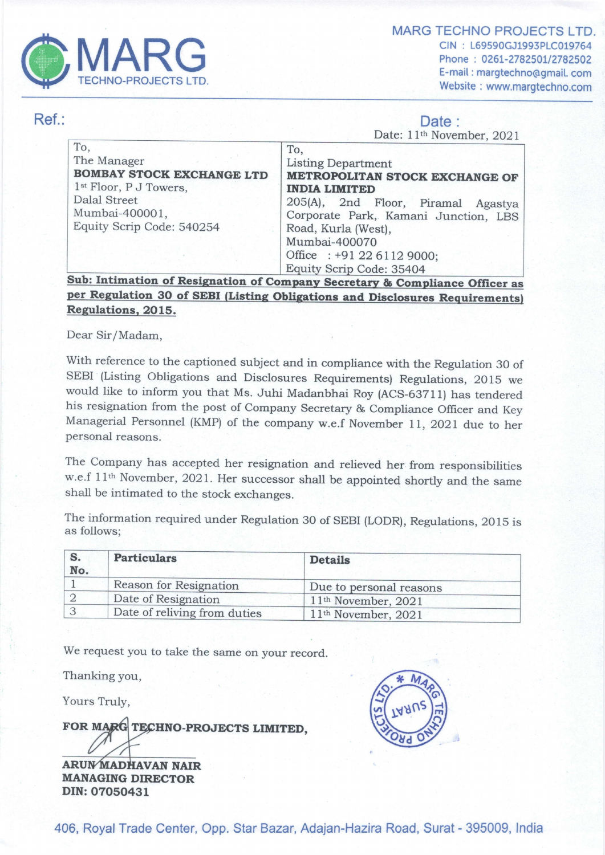

MARG TECHNO PROJECTS LTD. MARG TECHNO PROJECTS LTD<br>
CIN : L69590GJ193PLC019764<br>
Phone : 0261-2782501/2782502 E-mail : margtechno@gmail. com Website : www.margtechno.com

## Ref.: Date : Date :

Date: 11<sup>th</sup> November, 2021 To,<br>
The Manager<br> **BOMBAY STOCK EXCHANGE LTD**<br>
<sup>1st</sup> Floor, P J Towers,<br>
Dalal Street<br>
Mumbai-400001,<br>
Equity Scrip Code: 540254<br>
Equity Scrip Code: 540254<br>
Proposed Road, Kurla (West), Mumbai-400070 Office : +91 22 6112 9000; TECHNO-PROJECTS LTD.<br>
To,<br>
The Manager<br> **BOMBAY STOCK EXCHANGE LTD**<br>
1<sup>st</sup> Floor, P J Towers,<br>
Dala Street<br>
Mumbai-400001,<br>
Equity Scrip Code: 540254<br> **Example 100001**<br>
Equity Scrip Code: 540254<br> **Sub: Intimation of Resign** Equity Scrip Code: 35404 anager<br> **AY STOCK EXCI**<br>
Dr, P J Towers,<br>
Street<br>
ai-400001,<br>
Scrip Code: 5402<br>
timation of Resi<br>
vulation 30 of SI To,<br>
The Manager<br>
BOMBAY STOCK EXCHANGE LTD<br>
1st Floor, P J Towers,<br>
Dalal Street<br>
Mumbai-400001,<br>
Equity Scrip Code: 540254<br>
Explity Scrip Code: 540254<br>
Explity Scrip Code: 540254<br>
Sub: Intimation of Resignation of Com<br> To,<br>
The Manager<br>
BOMBAY STOCK EXCHANGE LTD<br>
1st Floor, P J Towers,<br>
Dalal Street<br>
Mumbai-400001,<br>
Equity Scrip Code: 540254<br>
Equity Scrip Code: 540254<br>
Explation 30 of SEBI (Listing Obl<br>
Regulations, 2015.<br>
Dear Sir/Mada To,<br>
The Manager<br> **BOMBAY STOCK EXCHANGE LTD**<br>  $\frac{1}{1}$ <br> **BOMBAY STOCK EXCHANGE LTD**<br>  $\frac{1}{1}$ <br>  $\frac{1}{1}$ <br>  $\frac{1}{1}$ <br>  $\frac{1}{1}$ <br>  $\frac{1}{1}$ <br>  $\frac{1}{1}$ <br>  $\frac{1}{1}$ <br>  $\frac{1}{1}$ <br>  $\frac{1}{1}$ <br>  $\frac{1}{1}$ <br>  $\frac{1}{1}$ <br>  $\frac{1}{1}$ <br>  $\$ The Manager<br> **BOMBAY STOCK EXCHANGE LTD**<br>
1st Floor, P J Towers,<br>
2<br>
Dalal Street<br>
Mumbai-400001,<br>
Equity Scrip Code: 540254<br> **Example 15**<br> **Sub: Intimation of Resignation of Com**<br> **Per Regulations, 2015.**<br>
Dear Sir/Madam

**Secretary** per Regulation 30 of SEBI (Listing Obligations and Disclosures Requirements) Regulations, 2015.

Dear Sir/Madam,

With reference to the captioned subject and in compliance with the Regulation 30 of SEBI (Listing Obligations and Disclosures Requirements) Regulations, 2015 we would like to inform you that Ms. Juhi Madanbhai Roy (ACS-637 Managerial Personnel (KMP) of the company w.e.f November 11, 2021 due to her personal reasons.

The Company has accepted her resignation and relieved her. from responsibilities w.e.f 11<sup>th</sup> November, 2021. Her successor shall be appointed shortly and the same shall be intimated to the stock exchanges.

The information required under Regulation 30 of SEBI (LODR), Regulations, 2015 is as follows;

| No. | <b>Particulars</b>           | <b>Details</b>                  |
|-----|------------------------------|---------------------------------|
|     | Reason for Resignation       | Due to personal reasons         |
|     | Date of Resignation          | $11th$ November, 2021           |
|     | Date of reliving from duties | 11 <sup>th</sup> November, 2021 |

We request you to take the same on your record.

Thanking you,

Yours Truly,

FOR MARG TECHNO-PROJECTS LIMITED. We request you to take the<br>Thanking you,<br>Yours Truly,<br>**FOR MARG TECHNO-PR<br>ARUNMADHAVAN NAIR**<br>MANAGING DIRECTOR

DIN: 07050431

 ira Roa<br> 406, Royal Trade Center, Opp. Star Bazar, Adajan-Hazira Road, Surat - 395009, India